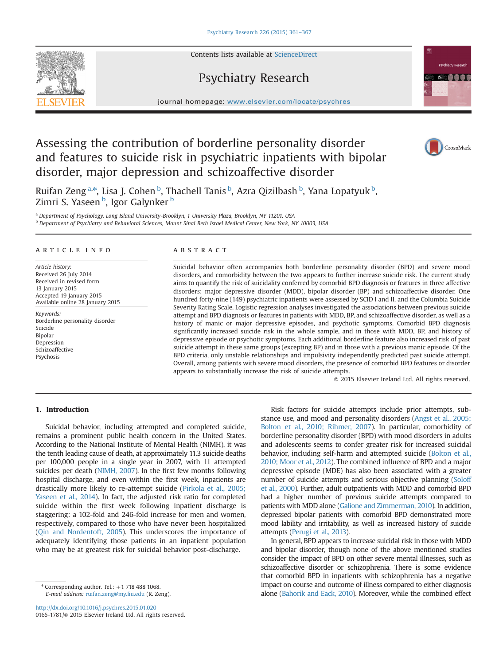Contents lists available at [ScienceDirect](www.sciencedirect.com/science/journal/01651781)

# Psychiatry Research



# Assessing the contribution of borderline personality disorder and features to suicide risk in psychiatric inpatients with bipolar disorder, major depression and schizoaffective disorder



vchiatry Research **COOOO** 

Ruifan Zeng<sup>a,\*</sup>, Lisa J. Cohen <sup>b</sup>, Thachell Tanis <sup>b</sup>, Azra Qizilbash <sup>b</sup>, Yana Lopatyuk <sup>b</sup>, Zimri S. Yaseen <sup>b</sup>, Igor Galynker <sup>b</sup>

<sup>a</sup> Department of Psychology, Long Island University-Brooklyn, 1 University Plaza, Brooklyn, NY 11201, USA <sup>b</sup> Department of Psychiatry and Behavioral Sciences, Mount Sinai Beth Israel Medical Center, New York, NY 10003, USA

## article info

Article history: Received 26 July 2014 Received in revised form 13 January 2015 Accepted 19 January 2015 Available online 28 January 2015

Keywords: Borderline personality disorder Suicide Bipolar Depression Schizoaffective Psychosis

# ABSTRACT

Suicidal behavior often accompanies both borderline personality disorder (BPD) and severe mood disorders, and comorbidity between the two appears to further increase suicide risk. The current study aims to quantify the risk of suicidality conferred by comorbid BPD diagnosis or features in three affective disorders: major depressive disorder (MDD), bipolar disorder (BP) and schizoaffective disorder. One hundred forty-nine (149) psychiatric inpatients were assessed by SCID I and II, and the Columbia Suicide Severity Rating Scale. Logistic regression analyses investigated the associations between previous suicide attempt and BPD diagnosis or features in patients with MDD, BP, and schizoaffective disorder, as well as a history of manic or major depressive episodes, and psychotic symptoms. Comorbid BPD diagnosis significantly increased suicide risk in the whole sample, and in those with MDD, BP, and history of depressive episode or psychotic symptoms. Each additional borderline feature also increased risk of past suicide attempt in these same groups (excepting BP) and in those with a previous manic episode. Of the BPD criteria, only unstable relationships and impulsivity independently predicted past suicide attempt. Overall, among patients with severe mood disorders, the presence of comorbid BPD features or disorder appears to substantially increase the risk of suicide attempts.

 $© 2015 Elsevier Ireland Ltd. All rights reserved.$ 

# 1. Introduction

Suicidal behavior, including attempted and completed suicide, remains a prominent public health concern in the United States. According to the National Institute of Mental Health (NIMH), it was the tenth leading cause of death, at approximately 11.3 suicide deaths per 100,000 people in a single year in 2007, with 11 attempted suicides per death [\(NIMH, 2007](#page--1-0)). In the first few months following hospital discharge, and even within the first week, inpatients are drastically more likely to re-attempt suicide [\(Pirkola et al., 2005;](#page--1-0) [Yaseen et al., 2014\)](#page--1-0). In fact, the adjusted risk ratio for completed suicide within the first week following inpatient discharge is staggering: a 102-fold and 246-fold increase for men and women, respectively, compared to those who have never been hospitalized [\(Qin and Nordentoft, 2005](#page--1-0)). This underscores the importance of adequately identifying those patients in an inpatient population who may be at greatest risk for suicidal behavior post-discharge.

 $*$  Corresponding author. Tel.:  $+1$  718 488 1068. E-mail address: [ruifan.zeng@my.liu.edu](mailto:ruifan.zeng@my.liu.edu) (R. Zeng).

<http://dx.doi.org/10.1016/j.psychres.2015.01.020> 0165-1781/© 2015 Elsevier Ireland Ltd. All rights reserved.

Risk factors for suicide attempts include prior attempts, substance use, and mood and personality disorders [\(Angst et al., 2005;](#page--1-0) [Bolton et al., 2010; Rihmer, 2007](#page--1-0)). In particular, comorbidity of borderline personality disorder (BPD) with mood disorders in adults and adolescents seems to confer greater risk for increased suicidal behavior, including self-harm and attempted suicide [\(Bolton et al.,](#page--1-0) [2010; Moor et al., 2012](#page--1-0)). The combined influence of BPD and a major depressive episode (MDE) has also been associated with a greater number of suicide attempts and serious objective planning ([Soloff](#page--1-0) [et al., 2000\)](#page--1-0). Further, adult outpatients with MDD and comorbid BPD had a higher number of previous suicide attempts compared to patients with MDD alone ([Galione and Zimmerman, 2010\)](#page--1-0). In addition, depressed bipolar patients with comorbid BPD demonstrated more mood lability and irritability, as well as increased history of suicide attempts ([Perugi et al., 2013](#page--1-0)).

In general, BPD appears to increase suicidal risk in those with MDD and bipolar disorder, though none of the above mentioned studies consider the impact of BPD on other severe mental illnesses, such as schizoaffective disorder or schizophrenia. There is some evidence that comorbid BPD in inpatients with schizophrenia has a negative impact on course and outcome of illness compared to either diagnosis alone ([Bahorik and Eack, 2010](#page--1-0)). Moreover, while the combined effect

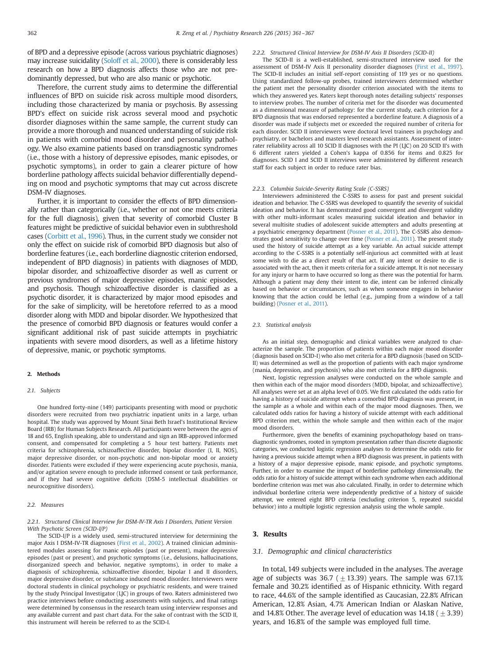of BPD and a depressive episode (across various psychiatric diagnoses) may increase suicidality [\(Soloff et al., 2000\)](#page--1-0), there is considerably less research on how a BPD diagnosis affects those who are not predominantly depressed, but who are also manic or psychotic.

Therefore, the current study aims to determine the differential influences of BPD on suicide risk across multiple mood disorders, including those characterized by mania or psychosis. By assessing BPD's effect on suicide risk across several mood and psychotic disorder diagnoses within the same sample, the current study can provide a more thorough and nuanced understanding of suicide risk in patients with comorbid mood disorder and personality pathology. We also examine patients based on transdiagnostic syndromes (i.e., those with a history of depressive episodes, manic episodes, or psychotic symptoms), in order to gain a clearer picture of how borderline pathology affects suicidal behavior differentially depending on mood and psychotic symptoms that may cut across discrete DSM-IV diagnoses.

Further, it is important to consider the effects of BPD dimensionally rather than categorically (i.e., whether or not one meets criteria for the full diagnosis), given that severity of comorbid Cluster B features might be predictive of suicidal behavior even in subthreshold cases ([Corbitt et al., 1996](#page--1-0)). Thus, in the current study we consider not only the effect on suicide risk of comorbid BPD diagnosis but also of borderline features (i.e., each borderline diagnostic criterion endorsed, independent of BPD diagnosis) in patients with diagnoses of MDD, bipolar disorder, and schizoaffective disorder as well as current or previous syndromes of major depressive episodes, manic episodes, and psychosis. Though schizoaffective disorder is classified as a psychotic disorder, it is characterized by major mood episodes and for the sake of simplicity, will be heretofore referred to as a mood disorder along with MDD and bipolar disorder. We hypothesized that the presence of comorbid BPD diagnosis or features would confer a significant additional risk of past suicide attempts in psychiatric inpatients with severe mood disorders, as well as a lifetime history of depressive, manic, or psychotic symptoms.

## 2. Methods

# 2.1. Subjects

One hundred forty-nine (149) participants presenting with mood or psychotic disorders were recruited from two psychiatric inpatient units in a large, urban hospital. The study was approved by Mount Sinai Beth Israel's Institutional Review Board (IRB) for Human Subjects Research. All participants were between the ages of 18 and 65, English speaking, able to understand and sign an IRB-approved informed consent, and compensated for completing a 5 hour test battery. Patients met criteria for schizophrenia, schizoaffective disorder, bipolar disorder (I, II, NOS), major depressive disorder, or non-psychotic and non-bipolar mood or anxiety disorder. Patients were excluded if they were experiencing acute psychosis, mania, and/or agitation severe enough to preclude informed consent or task performance, and if they had severe cognitive deficits (DSM-5 intellectual disabilities or neurocognitive disorders).

#### 2.2. Measures

#### 2.2.1. Structured Clinical Interview for DSM-IV-TR Axis I Disorders, Patient Version With Psychotic Screen (SCID-I/P)

The SCID-I/P is a widely used, semi-structured interview for determining the major Axis I DSM-IV-TR diagnoses ([First et al., 2002](#page--1-0)). A trained clinician administered modules assessing for manic episodes (past or present), major depressive episodes (past or present), and psychotic symptoms (i.e., delusions, hallucinations, disorganized speech and behavior, negative symptoms), in order to make a diagnosis of schizophrenia, schizoaffective disorder, bipolar I and II disorders, major depressive disorder, or substance induced mood disorder. Interviewers were doctoral students in clinical psychology or psychiatric residents, and were trained by the study Principal Investigator (LJC) in groups of two. Raters administered two practice interviews before conducting assessments with subjects, and final ratings were determined by consensus in the research team using interview responses and any available current and past chart data. For the sake of contrast with the SCID II, this instrument will herein be referred to as the SCID-I.

#### 2.2.2. Structured Clinical Interview for DSM-IV Axis II Disorders (SCID-II)

The SCID-II is a well-established, semi-structured interview used for the assessment of DSM-IV Axis II personality disorder diagnoses [\(First et al., 1997\)](#page--1-0). The SCID-II includes an initial self-report consisting of 119 yes or no questions. Using standardized follow-up probes, trained interviewers determined whether the patient met the personality disorder criterion associated with the items to which they answered yes. Raters kept thorough notes detailing subjects' responses to interview probes. The number of criteria met for the disorder was documented as a dimensional measure of pathology: for the current study, each criterion for a BPD diagnosis that was endorsed represented a borderline feature. A diagnosis of a disorder was made if subjects met or exceeded the required number of criteria for each disorder. SCID II interviewers were doctoral level trainees in psychology and psychiatry, or bachelors and masters level research assistants. Assessment of interrater reliability across all 10 SCID II diagnoses with the PI (LJC) on 20 SCID II's with 6 different raters yielded a Cohen's kappa of 0.856 for items and 0.825 for diagnoses. SCID I and SCID II interviews were administered by different research staff for each subject in order to reduce rater bias.

#### 2.2.3. Columbia Suicide-Severity Rating Scale (C-SSRS)

Interviewers administered the C-SSRS to assess for past and present suicidal ideation and behavior. The C-SSRS was developed to quantify the severity of suicidal ideation and behavior. It has demonstrated good convergent and divergent validity with other multi-informant scales measuring suicidal ideation and behavior in several multisite studies of adolescent suicide attempters and adults presenting at a psychiatric emergency department [\(Posner et al., 2011](#page--1-0)). The C-SSRS also demonstrates good sensitivity to change over time ([Posner et al., 2011](#page--1-0)). The present study used the history of suicide attempt as a key variable. An actual suicide attempt according to the C-SSRS is a potentially self-injurious act committed with at least some wish to die as a direct result of that act. If any intent or desire to die is associated with the act, then it meets criteria for a suicide attempt. It is not necessary for any injury or harm to have occurred so long as there was the potential for harm. Although a patient may deny their intent to die, intent can be inferred clinically based on behavior or circumstances, such as when someone engages in behavior knowing that the action could be lethal (e.g., jumping from a window of a tall building) [\(Posner et al., 2011\)](#page--1-0).

#### 2.3. Statistical analysis

As an initial step, demographic and clinical variables were analyzed to characterize the sample. The proportion of patients within each major mood disorder (diagnosis based on SCID-I) who also met criteria for a BPD diagnosis (based on SCID-II) was determined as well as the proportion of patients with each major syndrome (mania, depression, and psychosis) who also met criteria for a BPD diagnosis.

Next, logistic regression analyses were conducted on the whole sample and then within each of the major mood disorders (MDD, bipolar, and schizoaffective). All analyses were set at an alpha level of 0.05. We first calculated the odds ratio for having a history of suicide attempt when a comorbid BPD diagnosis was present, in the sample as a whole and within each of the major mood diagnoses. Then, we calculated odds ratios for having a history of suicide attempt with each additional BPD criterion met, within the whole sample and then within each of the major mood disorders.

Furthermore, given the benefits of examining psychopathology based on transdiagnostic syndromes, rooted in symptom presentation rather than discrete diagnostic categories, we conducted logistic regression analyses to determine the odds ratio for having a previous suicide attempt when a BPD diagnosis was present, in patients with a history of a major depressive episode, manic episode, and psychotic symptoms. Further, in order to examine the impact of borderline pathology dimensionally, the odds ratio for a history of suicide attempt within each syndrome when each additional borderline criterion was met was also calculated. Finally, in order to determine which individual borderline criteria were independently predictive of a history of suicide attempt, we entered eight BPD criteria (excluding criterion 5, repeated suicidal behavior) into a multiple logistic regression analysis using the whole sample.

# 3. Results

## 3.1. Demographic and clinical characteristics

In total, 149 subjects were included in the analyses. The average age of subjects was 36.7 ( $\pm$  13.39) years. The sample was 67.1% female and 30.2% identified as of Hispanic ethnicity. With regard to race, 44.6% of the sample identified as Caucasian, 22.8% African American, 12.8% Asian, 4.7% American Indian or Alaskan Native, and 14.8% Other. The average level of education was  $14.18$  ( $\pm$  3.39) years, and 16.8% of the sample was employed full time.